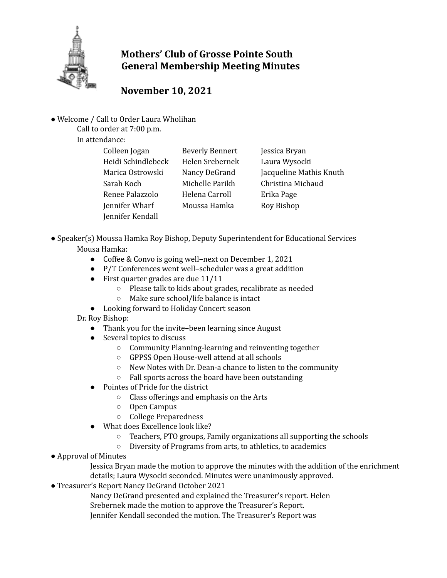

## **Mothers' Club of Grosse Pointe South General Membership Meeting Minutes**

## **November 10, 2021**

● Welcome / Call to Order Laura Wholihan

Call to order at 7:00 p.m.

In attendance:

| Colleen Jogan      | <b>Beverly Bennert</b> | Jessica Bryan           |
|--------------------|------------------------|-------------------------|
| Heidi Schindlebeck | Helen Srebernek        | Laura Wysocki           |
| Marica Ostrowski   | Nancy DeGrand          | Jacqueline Mathis Knuth |
| Sarah Koch         | Michelle Parikh        | Christina Michaud       |
| Renee Palazzolo    | Helena Carroll         | Erika Page              |
| Jennifer Wharf     | Moussa Hamka           | Roy Bishop              |
| Jennifer Kendall   |                        |                         |

- Speaker(s) Moussa Hamka Roy Bishop, Deputy Superintendent for Educational Services Mousa Hamka:
	- Coffee & Convo is going well–next on December 1, 2021
	- P/T Conferences went well–scheduler was a great addition
	- $\bullet$  First quarter grades are due 11/11
		- Please talk to kids about grades, recalibrate as needed
		- Make sure school/life balance is intact
	- Looking forward to Holiday Concert season

Dr. Roy Bishop:

- Thank you for the invite–been learning since August
- Several topics to discuss
	- Community Planning-learning and reinventing together
	- GPPSS Open House-well attend at all schools
	- New Notes with Dr. Dean-a chance to listen to the community
	- Fall sports across the board have been outstanding
- Pointes of Pride for the district
	- Class offerings and emphasis on the Arts
	- Open Campus
	- College Preparedness
- What does Excellence look like?
	- Teachers, PTO groups, Family organizations all supporting the schools
	- Diversity of Programs from arts, to athletics, to academics
- Approval of Minutes

Jessica Bryan made the motion to approve the minutes with the addition of the enrichment details; Laura Wysocki seconded. Minutes were unanimously approved.

● Treasurer's Report Nancy DeGrand October 2021

Nancy DeGrand presented and explained the Treasurer's report. Helen Srebernek made the motion to approve the Treasurer's Report.

Jennifer Kendall seconded the motion. The Treasurer's Report was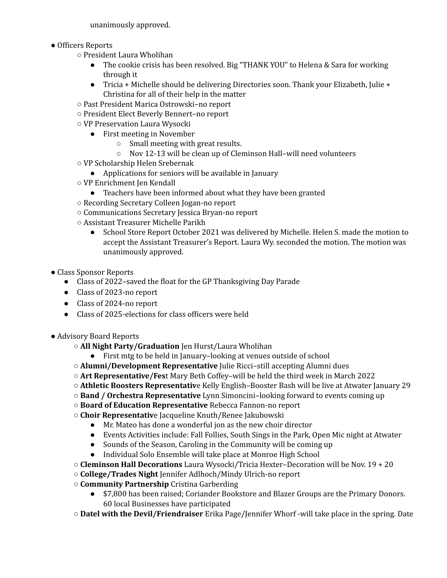unanimously approved.

- Officers Reports
	- President Laura Wholihan
		- The cookie crisis has been resolved. Big "THANK YOU" to Helena & Sara for working through it
		- Tricia + Michelle should be delivering Directories soon. Thank your Elizabeth, Julie + Christina for all of their help in the matter
	- Past President Marica Ostrowski–no report
	- President Elect Beverly Bennert–no report
	- VP Preservation Laura Wysocki
		- First meeting in November
			- Small meeting with great results.
			- Nov 12-13 will be clean up of Cleminson Hall–will need volunteers
	- VP Scholarship Helen Srebernak
		- Applications for seniors will be available in January
	- VP Enrichment Jen Kendall
		- Teachers have been informed about what they have been granted
	- Recording Secretary Colleen Jogan-no report
	- Communications Secretary Jessica Bryan-no report
	- Assistant Treasurer Michelle Parikh
		- School Store Report October 2021 was delivered by Michelle. Helen S. made the motion to accept the Assistant Treasurer's Report. Laura Wy. seconded the motion. The motion was unanimously approved.
- Class Sponsor Reports
	- Class of 2022–saved the float for the GP Thanksgiving Day Parade
	- Class of 2023-no report
	- Class of 2024-no report
	- Class of 2025-elections for class officers were held
- Advisory Board Reports
	- **All Night Party/Graduation** Jen Hurst/Laura Wholihan
		- First mtg to be held in January–looking at venues outside of school
	- **Alumni/Development Representative** Julie Ricci–still accepting Alumni dues
	- **Art Representative/Fes**t Mary Beth Coffey–will be held the third week in March 2022
	- **Athletic Boosters Representativ**e Kelly English–Booster Bash will be live at Atwater January 29
	- **Band / Orchestra Representative** Lynn Simoncini–looking forward to events coming up
	- **Board of Education Representative** Rebecca Fannon-no report
	- **Choir Representativ**e Jacqueline Knuth/Renee Jakubowski
		- Mr. Mateo has done a wonderful jon as the new choir director
		- Events Activities include: Fall Follies, South Sings in the Park, Open Mic night at Atwater
		- Sounds of the Season, Caroling in the Community will be coming up
		- Individual Solo Ensemble will take place at Monroe High School
	- **Cleminson Hall Decorations** Laura Wysocki/Tricia Hexter–Decoration will be Nov. 19 + 20
	- **College/Trades Night** Jennifer Adlhoch/Mindy Ulrich-no report
	- **Community Partnership** Cristina Garberding
		- \$7,800 has been raised; Coriander Bookstore and Blazer Groups are the Primary Donors. 60 local Businesses have participated
	- **Datel with the Devil/Friendraiser** Erika Page/Jennifer Whorf -will take place in the spring. Date